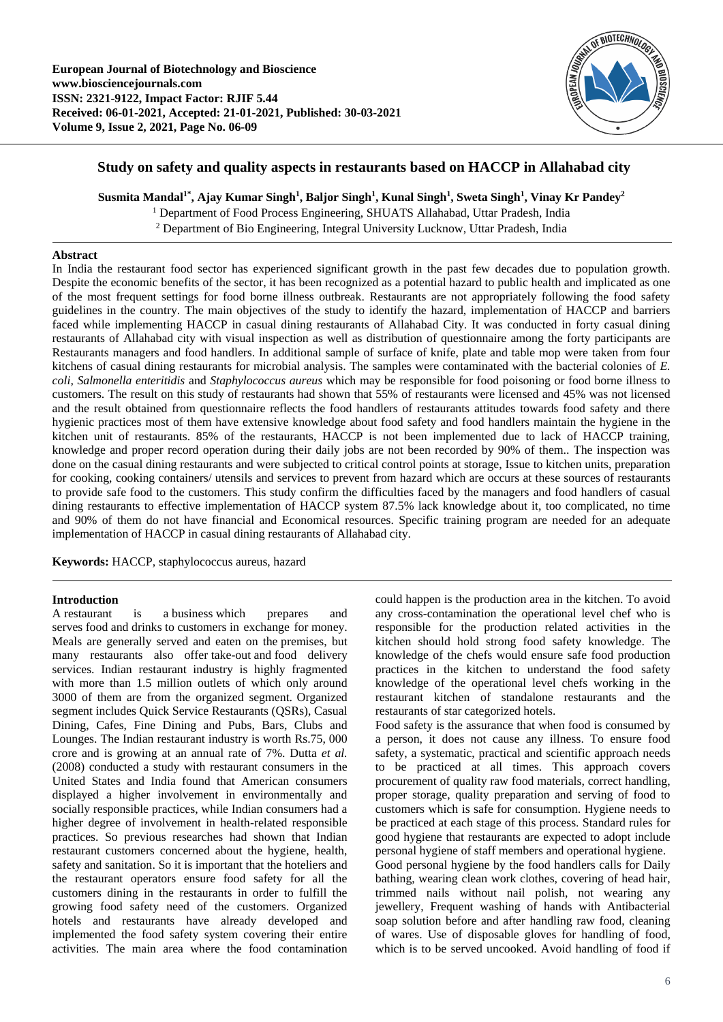

# **Study on safety and quality aspects in restaurants based on HACCP in Allahabad city**

**Susmita Mandal1\* , Ajay Kumar Singh<sup>1</sup> , Baljor Singh<sup>1</sup> , Kunal Singh<sup>1</sup> , Sweta Singh<sup>1</sup> , Vinay Kr Pandey<sup>2</sup>**

<sup>1</sup> Department of Food Process Engineering, SHUATS Allahabad, Uttar Pradesh, India

<sup>2</sup> Department of Bio Engineering, Integral University Lucknow, Uttar Pradesh, India

# **Abstract**

In India the restaurant food sector has experienced significant growth in the past few decades due to population growth. Despite the economic benefits of the sector, it has been recognized as a potential hazard to public health and implicated as one of the most frequent settings for food borne illness outbreak. Restaurants are not appropriately following the food safety guidelines in the country. The main objectives of the study to identify the hazard, implementation of HACCP and barriers faced while implementing HACCP in casual dining restaurants of Allahabad City. It was conducted in forty casual dining restaurants of Allahabad city with visual inspection as well as distribution of questionnaire among the forty participants are Restaurants managers and food handlers. In additional sample of surface of knife, plate and table mop were taken from four kitchens of casual dining restaurants for microbial analysis. The samples were contaminated with the bacterial colonies of *E. coli, Salmonella enteritidis* and *Staphylococcus aureus* which may be responsible for food poisoning or food borne illness to customers. The result on this study of restaurants had shown that 55% of restaurants were licensed and 45% was not licensed and the result obtained from questionnaire reflects the food handlers of restaurants attitudes towards food safety and there hygienic practices most of them have extensive knowledge about food safety and food handlers maintain the hygiene in the kitchen unit of restaurants. 85% of the restaurants, HACCP is not been implemented due to lack of HACCP training, knowledge and proper record operation during their daily jobs are not been recorded by 90% of them.. The inspection was done on the casual dining restaurants and were subjected to critical control points at storage, Issue to kitchen units, preparation for cooking, cooking containers/ utensils and services to prevent from hazard which are occurs at these sources of restaurants to provide safe food to the customers. This study confirm the difficulties faced by the managers and food handlers of casual dining restaurants to effective implementation of HACCP system 87.5% lack knowledge about it, too complicated, no time and 90% of them do not have financial and Economical resources. Specific training program are needed for an adequate implementation of HACCP in casual dining restaurants of Allahabad city.

**Keywords:** HACCP, staphylococcus aureus, hazard

# **Introduction**

A restaurant is a business which prepares and serves food and drinks to customers in exchange for money. Meals are generally served and eaten on the premises, but many restaurants also offer take-out and food delivery services. Indian restaurant industry is highly fragmented with more than 1.5 million outlets of which only around 3000 of them are from the organized segment. Organized segment includes Quick Service Restaurants (QSRs), Casual Dining, Cafes, Fine Dining and Pubs, Bars, Clubs and Lounges. The Indian restaurant industry is worth Rs.75, 000 crore and is growing at an annual rate of 7%. Dutta *et al.* (2008) conducted a study with restaurant consumers in the United States and India found that American consumers displayed a higher involvement in environmentally and socially responsible practices, while Indian consumers had a higher degree of involvement in health-related responsible practices. So previous researches had shown that Indian restaurant customers concerned about the hygiene, health, safety and sanitation. So it is important that the hoteliers and the restaurant operators ensure food safety for all the customers dining in the restaurants in order to fulfill the growing food safety need of the customers. Organized hotels and restaurants have already developed and implemented the food safety system covering their entire activities. The main area where the food contamination

could happen is the production area in the kitchen. To avoid any cross-contamination the operational level chef who is responsible for the production related activities in the kitchen should hold strong food safety knowledge. The knowledge of the chefs would ensure safe food production practices in the kitchen to understand the food safety knowledge of the operational level chefs working in the restaurant kitchen of standalone restaurants and the restaurants of star categorized hotels.

Food safety is the assurance that when food is consumed by a person, it does not cause any illness. To ensure food safety, a systematic, practical and scientific approach needs to be practiced at all times. This approach covers procurement of quality raw food materials, correct handling, proper storage, quality preparation and serving of food to customers which is safe for consumption. Hygiene needs to be practiced at each stage of this process. Standard rules for good hygiene that restaurants are expected to adopt include personal hygiene of staff members and operational hygiene. Good personal hygiene by the food handlers calls for Daily bathing, wearing clean work clothes, covering of head hair, trimmed nails without nail polish, not wearing any jewellery, Frequent washing of hands with Antibacterial soap solution before and after handling raw food, cleaning of wares. Use of disposable gloves for handling of food, which is to be served uncooked. Avoid handling of food if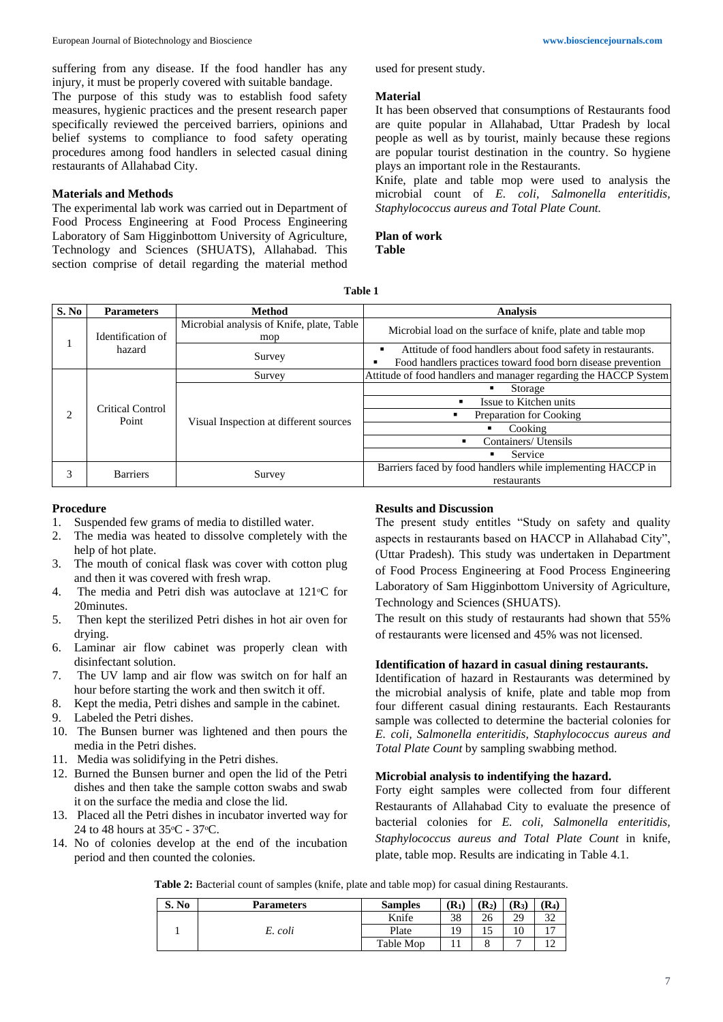suffering from any disease. If the food handler has any injury, it must be properly covered with suitable bandage. The purpose of this study was to establish food safety measures, hygienic practices and the present research paper specifically reviewed the perceived barriers, opinions and belief systems to compliance to food safety operating procedures among food handlers in selected casual dining restaurants of Allahabad City.

# **Materials and Methods**

The experimental lab work was carried out in Department of Food Process Engineering at Food Process Engineering Laboratory of Sam Higginbottom University of Agriculture, Technology and Sciences (SHUATS), Allahabad. This section comprise of detail regarding the material method used for present study.

### **Material**

It has been observed that consumptions of Restaurants food are quite popular in Allahabad, Uttar Pradesh by local people as well as by tourist, mainly because these regions are popular tourist destination in the country. So hygiene plays an important role in the Restaurants.

Knife, plate and table mop were used to analysis the microbial count of *E. coli, Salmonella enteritidis, Staphylococcus aureus and Total Plate Count.*

**Plan of work Table** 

**Table 1**

| S. No | <b>Parameters</b>           | <b>Method</b>                                    | <b>Analysis</b>                                                                                                            |  |  |
|-------|-----------------------------|--------------------------------------------------|----------------------------------------------------------------------------------------------------------------------------|--|--|
|       | Identification of<br>hazard | Microbial analysis of Knife, plate, Table<br>mop | Microbial load on the surface of knife, plate and table mop                                                                |  |  |
|       |                             | Survey                                           | Attitude of food handlers about food safety in restaurants.<br>Food handlers practices toward food born disease prevention |  |  |
|       | Critical Control<br>Point   | Survey                                           | Attitude of food handlers and manager regarding the HACCP System                                                           |  |  |
|       |                             | Visual Inspection at different sources           | Storage<br>٠                                                                                                               |  |  |
|       |                             |                                                  | Issue to Kitchen units<br>٠                                                                                                |  |  |
| ◠     |                             |                                                  | Preparation for Cooking                                                                                                    |  |  |
|       |                             |                                                  | Cooking                                                                                                                    |  |  |
|       |                             |                                                  | Containers/ Utensils                                                                                                       |  |  |
|       |                             |                                                  | Service                                                                                                                    |  |  |
| 3     | <b>Barriers</b>             | Survey                                           | Barriers faced by food handlers while implementing HACCP in                                                                |  |  |
|       |                             |                                                  | restaurants                                                                                                                |  |  |

### **Procedure**

- 1. Suspended few grams of media to distilled water.
- 2. The media was heated to dissolve completely with the help of hot plate.
- 3. The mouth of conical flask was cover with cotton plug and then it was covered with fresh wrap.
- 4. The media and Petri dish was autoclave at  $121\degree$ C for 20minutes.
- 5. Then kept the sterilized Petri dishes in hot air oven for drying.
- 6. Laminar air flow cabinet was properly clean with disinfectant solution.
- 7. The UV lamp and air flow was switch on for half an hour before starting the work and then switch it off.
- 8. Kept the media, Petri dishes and sample in the cabinet.
- 9. Labeled the Petri dishes.
- 10. The Bunsen burner was lightened and then pours the media in the Petri dishes.
- 11. Media was solidifying in the Petri dishes.
- 12. Burned the Bunsen burner and open the lid of the Petri dishes and then take the sample cotton swabs and swab it on the surface the media and close the lid.
- 13. Placed all the Petri dishes in incubator inverted way for 24 to 48 hours at 35 $\mathrm{^{\circ}C}$  - 37 $\mathrm{^{\circ}C}$ .
- 14. No of colonies develop at the end of the incubation period and then counted the colonies.

## **Results and Discussion**

The present study entitles "Study on safety and quality aspects in restaurants based on HACCP in Allahabad City", (Uttar Pradesh). This study was undertaken in Department of Food Process Engineering at Food Process Engineering Laboratory of Sam Higginbottom University of Agriculture, Technology and Sciences (SHUATS).

The result on this study of restaurants had shown that 55% of restaurants were licensed and 45% was not licensed.

#### **Identification of hazard in casual dining restaurants.**

Identification of hazard in Restaurants was determined by the microbial analysis of knife, plate and table mop from four different casual dining restaurants. Each Restaurants sample was collected to determine the bacterial colonies for *E. coli, Salmonella enteritidis, Staphylococcus aureus and Total Plate Count* by sampling swabbing method.

# **Microbial analysis to indentifying the hazard.**

Forty eight samples were collected from four different Restaurants of Allahabad City to evaluate the presence of bacterial colonies for *E. coli, Salmonella enteritidis, Staphylococcus aureus and Total Plate Count* in knife, plate, table mop. Results are indicating in Table 4.1.

**Table 2:** Bacterial count of samples (knife, plate and table mop) for casual dining Restaurants.

| S. No | <b>Parameters</b> | <b>Samples</b> | $\mathbf{R}_1$ | $(R_2)$ | $(R_3)$ | $\mathbf{R}_4$ |
|-------|-------------------|----------------|----------------|---------|---------|----------------|
|       | E. coli           | Knife          | 38             | 26      | 29      | n n<br>JΖ      |
|       |                   | Plate          | 1Ο.            |         | 10      | $\overline{ }$ |
|       |                   | Table Mop      |                |         | -       |                |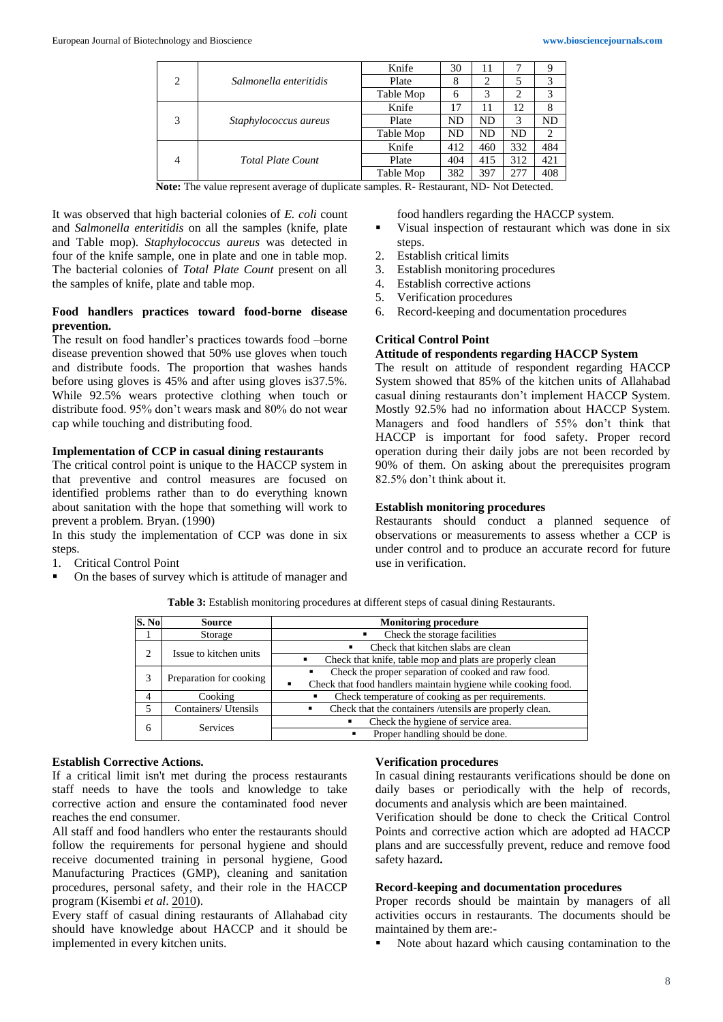| $\overline{c}$ | Salmonella enteritidis   | Knife     | 30  | 11        |           |                |
|----------------|--------------------------|-----------|-----|-----------|-----------|----------------|
|                |                          | Plate     | 8   | 2         |           | 3              |
|                |                          | Table Mop | 6   | 3         | 2         | 3              |
| 3              | Staphylococcus aureus    | Knife     | 17  | 11        | 12        |                |
|                |                          | Plate     | ND  | ND        | 3         | ND             |
|                |                          | Table Mop | ND  | <b>ND</b> | <b>ND</b> | $\overline{c}$ |
| $\overline{4}$ | <b>Total Plate Count</b> | Knife     | 412 | 460       | 332       | 484            |
|                |                          | Plate     | 404 | 415       | 312       | 421            |
|                |                          | Table Mop | 382 | 397       | 277       | 408            |

**Note:** The value represent average of duplicate samples. R- Restaurant, ND- Not Detected.

It was observed that high bacterial colonies of *E. coli* count and *Salmonella enteritidis* on all the samples (knife, plate and Table mop). *Staphylococcus aureus* was detected in four of the knife sample, one in plate and one in table mop. The bacterial colonies of *Total Plate Count* present on all the samples of knife, plate and table mop.

# **Food handlers practices toward food-borne disease prevention.**

The result on food handler's practices towards food –borne disease prevention showed that 50% use gloves when touch and distribute foods. The proportion that washes hands before using gloves is 45% and after using gloves is37.5%. While 92.5% wears protective clothing when touch or distribute food. 95% don't wears mask and 80% do not wear cap while touching and distributing food.

#### **Implementation of CCP in casual dining restaurants**

The critical control point is unique to the HACCP system in that preventive and control measures are focused on identified problems rather than to do everything known about sanitation with the hope that something will work to prevent a problem. Bryan. (1990)

In this study the implementation of CCP was done in six steps.

- 1. Critical Control Point
- On the bases of survey which is attitude of manager and

food handlers regarding the HACCP system.

- Visual inspection of restaurant which was done in six steps.
- 2. Establish critical limits
- 3. Establish monitoring procedures
- 4. Establish corrective actions
- 5. Verification procedures
- 6. Record-keeping and documentation procedures

# **Critical Control Point**

# **Attitude of respondents regarding HACCP System**

The result on attitude of respondent regarding HACCP System showed that 85% of the kitchen units of Allahabad casual dining restaurants don't implement HACCP System. Mostly 92.5% had no information about HACCP System. Managers and food handlers of 55% don't think that HACCP is important for food safety. Proper record operation during their daily jobs are not been recorded by 90% of them. On asking about the prerequisites program 82.5% don't think about it.

#### **Establish monitoring procedures**

Restaurants should conduct a planned sequence of observations or measurements to assess whether a CCP is under control and to produce an accurate record for future use in verification.

**Table 3:** Establish monitoring procedures at different steps of casual dining Restaurants.

| S. No | <b>Source</b>           | <b>Monitoring procedure</b>                                               |
|-------|-------------------------|---------------------------------------------------------------------------|
|       | Storage                 | Check the storage facilities                                              |
|       | Issue to kitchen units  | Check that kitchen slabs are clean<br>$\blacksquare$                      |
|       |                         | Check that knife, table mop and plats are properly clean                  |
|       | Preparation for cooking | Check the proper separation of cooked and raw food.<br>٠                  |
|       |                         | Check that food handlers maintain hygiene while cooking food.<br>п        |
| 4     | Cooking                 | Check temperature of cooking as per requirements.<br>٠                    |
|       | Containers/ Utensils    | Check that the containers /utensils are properly clean.<br>$\blacksquare$ |
| 6     | <b>Services</b>         | Check the hygiene of service area.                                        |
|       |                         | Proper handling should be done.                                           |

#### **Establish Corrective Actions.**

If a critical limit isn't met during the process restaurants staff needs to have the tools and knowledge to take corrective action and ensure the contaminated food never reaches the end consumer.

All staff and food handlers who enter the restaurants should follow the requirements for personal hygiene and should receive documented training in personal hygiene, Good Manufacturing Practices (GMP), cleaning and sanitation procedures, personal safety, and their role in the HACCP program (Kisembi *et al*. 2010).

Every staff of casual dining restaurants of Allahabad city should have knowledge about HACCP and it should be implemented in every kitchen units.

### **Verification procedures**

In casual dining restaurants verifications should be done on daily bases or periodically with the help of records, documents and analysis which are been maintained.

Verification should be done to check the Critical Control Points and corrective action which are adopted ad HACCP plans and are successfully prevent, reduce and remove food safety hazard**.**

# **Record-keeping and documentation procedures**

Proper records should be maintain by managers of all activities occurs in restaurants. The documents should be maintained by them are:-

Note about hazard which causing contamination to the